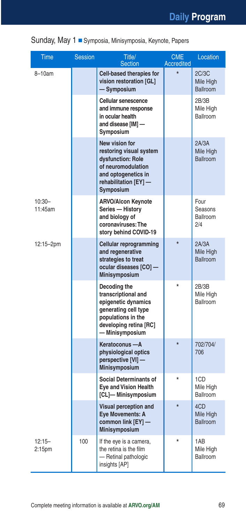|  | Sunday, May 1 Symposia, Minisymposia, Keynote, Papers |  |  |  |  |
|--|-------------------------------------------------------|--|--|--|--|
|--|-------------------------------------------------------|--|--|--|--|

| <b>Time</b>                     | <b>Session</b> | Title/<br><b>Section</b>                                                                                                                              | <b>CME</b><br><b>Accredited</b> | Location                              |
|---------------------------------|----------------|-------------------------------------------------------------------------------------------------------------------------------------------------------|---------------------------------|---------------------------------------|
| 8-10am                          |                | Cell-based therapies for<br>vision restoration [GL]<br>- Symposium                                                                                    | $\star$                         | 2C/3C<br>Mile High<br><b>Ballroom</b> |
|                                 |                | <b>Cellular senescence</b><br>and immune response<br>in ocular health<br>and disease [IM] -<br>Symposium                                              |                                 | 2B/3B<br>Mile High<br>Ballroom        |
|                                 |                | New vision for<br>restoring visual system<br>dysfunction: Role<br>of neuromodulation<br>and optogenetics in<br>rehabilitation [EY] -<br>Symposium     |                                 | 2A/3A<br>Mile High<br>Ballroom        |
| $10:30 -$<br>11:45am            |                | <b>ARVO/Alcon Keynote</b><br>Series - History<br>and biology of<br>coronaviruses: The<br>story behind COVID-19                                        |                                 | Four<br>Seasons<br>Ballroom<br>2/4    |
| 12:15-2pm                       |                | Cellular reprogramming<br>and regenerative<br>strategies to treat<br>ocular diseases [CO] -<br><b>Minisymposium</b>                                   |                                 | 2A/3A<br>Mile High<br>Ballroom        |
|                                 |                | Decoding the<br>transcriptional and<br>epigenetic dynamics<br>generating cell type<br>populations in the<br>developing retina [RC]<br>- Minisymposium |                                 | 2B/3B<br>Mile High<br>Ballroom        |
|                                 |                | Keratoconus - A<br>physiological optics<br>perspective [VI] -<br><b>Minisymposium</b>                                                                 | $\star$                         | 702/704/<br>706                       |
|                                 |                | <b>Social Determinants of</b><br><b>Eye and Vision Health</b><br>[CL]-Minisymposium                                                                   | $\star$                         | 1CD<br>Mile High<br>Ballroom          |
|                                 |                | Visual perception and<br><b>Eye Movements: A</b><br>common link [EY] -<br><b>Minisymposium</b>                                                        | ÷                               | 4CD<br>Mile High<br><b>Ballroom</b>   |
| $12:15 -$<br>2:15 <sub>pm</sub> | 100            | If the eye is a camera,<br>the retina is the film<br>- Retinal pathologic<br>insights [AP]                                                            |                                 | 1AB<br>Mile High<br>Ballroom          |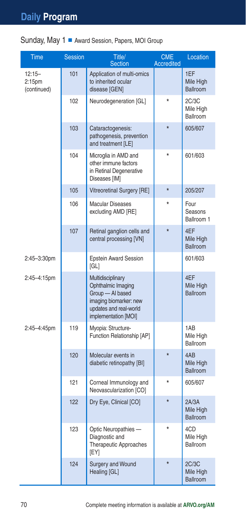#### Sunday, May 1 Award Session, Papers, MOI Group

| Time                                           | <b>Session</b> | Title/<br><b>Section</b>                                                                                                                | <b>CME</b><br><b>Accredited</b> | Location                              |
|------------------------------------------------|----------------|-----------------------------------------------------------------------------------------------------------------------------------------|---------------------------------|---------------------------------------|
| $12:15 -$<br>2:15 <sub>pm</sub><br>(continued) | 101            | Application of multi-omics<br>to inherited ocular<br>disease [GEN]                                                                      |                                 | 1EF<br>Mile High<br><b>Ballroom</b>   |
|                                                | 102            | Neurodegeneration [GL]                                                                                                                  |                                 | 2C/3C<br>Mile High<br>Ballroom        |
|                                                | 103            | Cataractogenesis:<br>pathogenesis, prevention<br>and treatment [LE]                                                                     | $\star$                         | 605/607                               |
|                                                | 104            | Microglia in AMD and<br>other immune factors<br>in Retinal Degenerative<br>Diseases [IM]                                                | $\star$                         | 601/603                               |
|                                                | 105            | Vitreoretinal Surgery [RE]                                                                                                              | $\star$                         | 205/207                               |
|                                                | 106            | <b>Macular Diseases</b><br>excluding AMD [RE]                                                                                           |                                 | Four<br>Seasons<br>Ballroom 1         |
|                                                | 107            | Retinal ganglion cells and<br>central processing [VN]                                                                                   | $\star$                         | 4EF<br>Mile High<br><b>Ballroom</b>   |
| 2:45-3:30pm                                    |                | <b>Epstein Award Session</b><br>[GL]                                                                                                    |                                 | 601/603                               |
| 2:45-4:15pm                                    |                | Multidisciplinary<br>Ophthalmic Imaging<br>Group - Al based<br>imaging biomarker: new<br>updates and real-world<br>implementation [MOI] |                                 | 4EF<br>Mile High<br><b>Ballroom</b>   |
| 2:45-4:45pm                                    | 119            | Myopia: Structure-<br>Function Relationship [AP]                                                                                        |                                 | 1AB<br>Mile High<br><b>Ballroom</b>   |
|                                                | 120            | Molecular events in<br>diabetic retinopathy [BI]                                                                                        | $\star$                         | 4AB<br>Mile High<br><b>Ballroom</b>   |
|                                                | 121            | Corneal Immunology and<br>Neovascularization [CO]                                                                                       | $\star$                         | 605/607                               |
|                                                | 122            | Dry Eye, Clinical [CO]                                                                                                                  | $\star$                         | 2A/3A<br>Mile High<br><b>Ballroom</b> |
|                                                | 123            | Optic Neuropathies -<br>Diagnostic and<br>Therapeutic Approaches<br>[EY]                                                                |                                 | 4CD<br>Mile High<br>Ballroom          |
|                                                | 124            | <b>Surgery and Wound</b><br>Healing [GL]                                                                                                |                                 | 2C/3C<br>Mile High<br><b>Ballroom</b> |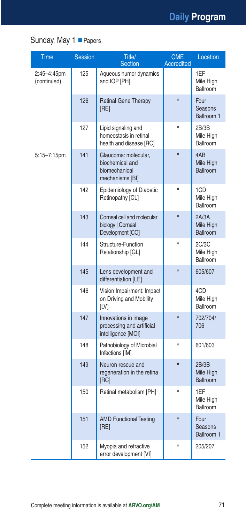## Sunday, May 1 Papers

| <b>Time</b>                | <b>Session</b> | Title/<br>Section                                                           | <b>CME</b><br><b>Accredited</b> | Location                              |
|----------------------------|----------------|-----------------------------------------------------------------------------|---------------------------------|---------------------------------------|
| 2:45-4:45pm<br>(continued) | 125            | Aqueous humor dynamics<br>and IOP [PH]                                      |                                 | 1EF<br>Mile High<br>Ballroom          |
|                            | 126            | <b>Retinal Gene Therapy</b><br>[RE]                                         | $\star$                         | Four<br>Seasons<br>Ballroom 1         |
|                            | 127            | Lipid signaling and<br>homeostasis in retinal<br>health and disease [RC]    | $\star$                         | 2B/3B<br>Mile High<br>Ballroom        |
| 5:15-7:15pm                | 141            | Glaucoma: molecular,<br>biochemical and<br>biomechanical<br>mechanisms [BI] | $\star$                         | 4AB<br>Mile High<br><b>Ballroom</b>   |
|                            | 142            | <b>Epidemiology of Diabetic</b><br>Retinopathy [CL]                         | $\star$                         | 1CD<br>Mile High<br>Ballroom          |
|                            | 143            | Corneal cell and molecular<br>biology   Corneal<br>Development [CO]         | $\star$                         | 2A/3A<br>Mile High<br><b>Ballroom</b> |
|                            | 144            | Structure-Function<br>Relationship [GL]                                     | $\star$                         | 2C/3C<br>Mile High<br>Ballroom        |
|                            | 145            | Lens development and<br>differentiation [LE]                                | $\star$                         | 605/607                               |
|                            | 146            | Vision Impairment: Impact<br>on Driving and Mobility<br>[LV]                |                                 | 4CD<br>Mile High<br>Ballroom          |
|                            | 147            | Innovations in image<br>processing and artificial<br>intelligence [MOI]     | $\star$                         | 702/704/<br>706                       |
|                            | 148            | Pathobiology of Microbial<br>Infections [IM]                                | $\star$                         | 601/603                               |
|                            | 149            | Neuron rescue and<br>regeneration in the retina<br>[RC]                     | $\star$                         | 2B/3B<br>Mile High<br><b>Ballroom</b> |
|                            | 150            | Retinal metabolism [PH]                                                     | $\star$                         | 1EF<br>Mile High<br>Ballroom          |
|                            | 151            | <b>AMD Functional Testing</b><br>[RE]                                       | $\star$                         | Four<br>Seasons<br>Ballroom 1         |
|                            | 152            | Myopia and refractive<br>error development [VI]                             | $\star$                         | 205/207                               |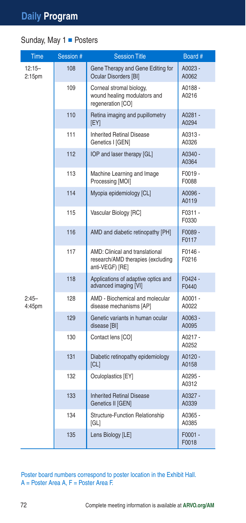#### Sunday, May 1 Posters

| Time                | Session # | <b>Session Title</b>                                                                    | Board #            |
|---------------------|-----------|-----------------------------------------------------------------------------------------|--------------------|
| $12:15 -$<br>2:15pm | 108       | Gene Therapy and Gene Editing for<br><b>Ocular Disorders [BI]</b>                       | A0023 -<br>A0062   |
|                     | 109       | Corneal stromal biology,<br>wound healing modulators and<br>regeneration [CO]           | A0188 -<br>A0216   |
|                     | 110       | Retina imaging and pupillometry<br>[EY]                                                 | A0281 -<br>A0294   |
|                     | 111       | <b>Inherited Retinal Disease</b><br>Genetics I [GEN]                                    | A0313 -<br>A0326   |
|                     | 112       | IOP and laser therapy [GL]                                                              | A0340 -<br>A0364   |
|                     | 113       | Machine Learning and Image<br>Processing [MOI]                                          | F0019 -<br>F0088   |
|                     | 114       | Myopia epidemiology [CL]                                                                | A0096 -<br>A0119   |
|                     | 115       | Vascular Biology [RC]                                                                   | F0311 -<br>F0330   |
|                     | 116       | AMD and diabetic retinopathy [PH]                                                       | F0089 -<br>F0117   |
|                     | 117       | AMD: Clinical and translational<br>research/AMD therapies (excluding<br>anti-VEGF) [RE] | F0146-<br>F0216    |
|                     | 118       | Applications of adaptive optics and<br>advanced imaging [VI]                            | F0424 -<br>F0440   |
| $2:45-$<br>4:45pm   | 128       | AMD - Biochemical and molecular<br>disease mechanisms [AP]                              | A0001 -<br>A0022   |
|                     | 129       | Genetic variants in human ocular<br>disease [BI]                                        | A0063 -<br>A0095   |
|                     | 130       | Contact lens [CO]                                                                       | A0217 -<br>A0252   |
|                     | 131       | Diabetic retinopathy epidemiology<br> CL                                                | A0120 -<br>A0158   |
|                     | 132       | Oculoplastics [EY]                                                                      | A0295 -<br>A0312   |
|                     | 133       | <b>Inherited Retinal Disease</b><br>Genetics II [GEN]                                   | A0327 -<br>A0339   |
|                     | 134       | Structure-Function Relationship<br>[GL]                                                 | A0365 -<br>A0385   |
|                     | 135       | Lens Biology [LE]                                                                       | $F0001 -$<br>F0018 |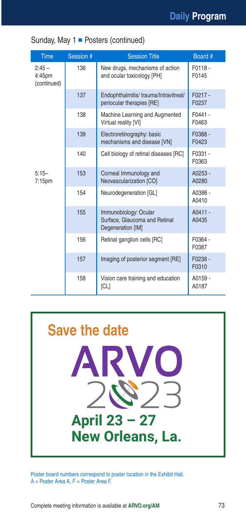| <b>Time</b>                      | Session # | <b>Session Title</b>                                                        | Board #            |
|----------------------------------|-----------|-----------------------------------------------------------------------------|--------------------|
| $2:45-$<br>4:45pm<br>(continued) | 136       | New drugs, mechanisms of action<br>and ocular toxicology [PH]               | F0118-<br>F0145    |
|                                  | 137       | Endophthalmitis/trauma/Intravitreal/<br>periocular therapies [RE]           | $F0217 -$<br>F0237 |
|                                  | 138       | Machine Learning and Augmented<br>Virtual reality [VI]                      | $F0441 -$<br>F0463 |
|                                  | 139       | Electroretinography: basic<br>mechanisms and disease [VN]                   | F0388 -<br>F0423   |
|                                  | 140       | Cell biology of retinal diseases [RC]                                       | F0331 -<br>F0363   |
| $5:15-$<br>7:15 <sub>pm</sub>    | 153       | Corneal Immunology and<br>Neovascularization [CO]                           | $A0253 -$<br>A0280 |
|                                  | 154       | Neurodegeneration [GL]                                                      | A0386 -<br>A0410   |
|                                  | 155       | Immunobiology: Ocular<br>Surface, Glaucoma and Retinal<br>Degeneration [IM] | A0411 -<br>A0435   |
|                                  | 156       | Retinal ganglion cells [RC]                                                 | F0364 -<br>F0387   |
|                                  | 157       | Imaging of posterior segment [RE]                                           | $F0238 -$<br>F0310 |
|                                  | 158       | Vision care training and education<br> CL                                   | A0159 -<br>A0187   |

Sunday, May  $1$   $\blacksquare$  Posters (continued)

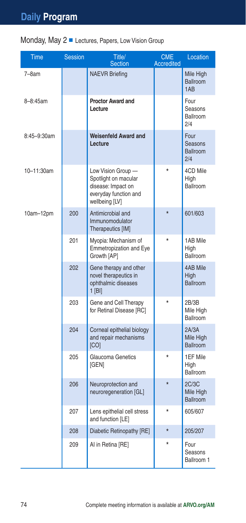## Monday, May 2 Lectures, Papers, Low Vision Group

| Time        | <b>Session</b> | Title/<br><b>Section</b>                                                                                    | <b>CME</b><br><b>Accredited</b> | Location                                        |
|-------------|----------------|-------------------------------------------------------------------------------------------------------------|---------------------------------|-------------------------------------------------|
| $7-8am$     |                | <b>NAEVR Briefing</b>                                                                                       |                                 | Mile High<br><b>Ballroom</b><br>1A <sub>B</sub> |
| 8-8:45am    |                | <b>Proctor Award and</b><br>Lecture                                                                         |                                 | Four<br>Seasons<br>Ballroom<br>2/4              |
| 8:45-9:30am |                | <b>Weisenfeld Award and</b><br>Lecture                                                                      |                                 | Four<br>Seasons<br><b>Ballroom</b><br>2/4       |
| 10-11:30am  |                | Low Vision Group -<br>Spotlight on macular<br>disease: Impact on<br>everyday function and<br>wellbeing [LV] |                                 | 4CD Mile<br>High<br>Ballroom                    |
| $10am-12pm$ | 200            | Antimicrobial and<br>Immunomodulator<br>Therapeutics [IM]                                                   | $\star$                         | 601/603                                         |
|             | 201            | Myopia: Mechanism of<br>Emmetropization and Eye<br>Growth [AP]                                              |                                 | 1AB Mile<br>High<br>Ballroom                    |
|             | 202            | Gene therapy and other<br>novel therapeutics in<br>ophthalmic diseases<br>$1$ [BI]                          |                                 | <b>4AB Mile</b><br>High<br>Ballroom             |
|             | 203            | Gene and Cell Therapy<br>for Retinal Disease [RC]                                                           |                                 | 2B/3B<br>Mile High<br>Ballroom                  |
|             | 204            | Corneal epithelial biology<br>and repair mechanisms<br>[CO]                                                 |                                 | 2A/3A<br>Mile High<br>Ballroom                  |
|             | 205            | Glaucoma Genetics<br>[GEN]                                                                                  | $\star$                         | 1EF Mile<br>High<br>Ballroom                    |
|             | 206            | Neuroprotection and<br>neuroregeneration [GL]                                                               | $\star$                         | 2C/3C<br>Mile High<br><b>Ballroom</b>           |
|             | 207            | Lens epithelial cell stress<br>and function [LE]                                                            | $\star$                         | 605/607                                         |
|             | 208            | Diabetic Retinopathy [RE]                                                                                   |                                 | 205/207                                         |
|             | 209            | AI in Retina [RE]                                                                                           | ÷                               | Four<br>Seasons<br>Ballroom 1                   |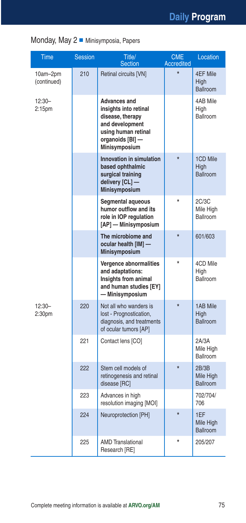| Monday, May 2 Minisymposia, Papers |  |  |
|------------------------------------|--|--|
|------------------------------------|--|--|

| <b>Time</b>                    | <b>Session</b> | Title/<br><b>Section</b>                                                                                                                        | <b>CME</b><br><b>Accredited</b> | Location                              |
|--------------------------------|----------------|-------------------------------------------------------------------------------------------------------------------------------------------------|---------------------------------|---------------------------------------|
| 10am-2pm<br>(continued)        | 210            | Retinal circuits [VN]                                                                                                                           | $\star$                         | 4EF Mile<br>High<br><b>Ballroom</b>   |
| $12:30-$<br>2:15 <sub>pm</sub> |                | Advances and<br>insights into retinal<br>disease, therapy<br>and development<br>using human retinal<br>organoids [BI] -<br><b>Minisymposium</b> |                                 | 4AB Mile<br>High<br><b>Ballroom</b>   |
|                                |                | Innovation in simulation<br>based ophthalmic<br>surgical training<br>delivery [CL] -<br><b>Minisymposium</b>                                    | $\star$                         | 1CD Mile<br>High<br><b>Ballroom</b>   |
|                                |                | Segmental aqueous<br>humor outflow and its<br>role in IOP regulation<br>[AP] - Minisymposium                                                    |                                 | 2C/3C<br>Mile High<br>Ballroom        |
|                                |                | The microbiome and<br>ocular health [IM] -<br><b>Minisymposium</b>                                                                              | $\star$                         | 601/603                               |
|                                |                | Vergence abnormalities<br>and adaptations:<br>Insights from animal<br>and human studies [EY]<br>— Minisymposium                                 | $\star$                         | 4CD Mile<br>High<br>Ballroom          |
| $12:30-$<br>2:30pm             | 220            | Not all who wanders is<br>lost - Prognostication,<br>diagnosis, and treatments<br>of ocular tumors [AP]                                         | $\star$                         | 1AB Mile<br>High<br><b>Ballroom</b>   |
|                                | 221            | Contact lens [CO]                                                                                                                               |                                 | 2A/3A<br>Mile High<br>Ballroom        |
|                                | 222            | Stem cell models of<br>retinogenesis and retinal<br>disease [RC]                                                                                | $\star$                         | 2B/3B<br>Mile High<br><b>Ballroom</b> |
|                                | 223            | Advances in high<br>resolution imaging [MOI]                                                                                                    |                                 | 702/704/<br>706                       |
|                                | 224            | Neuroprotection [PH]                                                                                                                            | $\star$                         | 1EF<br>Mile High<br><b>Ballroom</b>   |
|                                | 225            | <b>AMD Translational</b><br>Research [RE]                                                                                                       | $\star$                         | 205/207                               |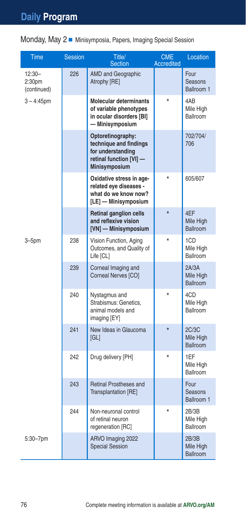Monday, May 2 Minisymposia, Papers, Imaging Special Session

| <b>Time</b>                                   | <b>Session</b> | Title/<br><b>Section</b>                                                                                            | <b>CME</b><br><b>Accredited</b> | Location                              |
|-----------------------------------------------|----------------|---------------------------------------------------------------------------------------------------------------------|---------------------------------|---------------------------------------|
| $12:30-$<br>2:30 <sub>pm</sub><br>(continued) | 226            | <b>AMD and Geographic</b><br>Atrophy [RE]                                                                           |                                 | Four<br>Seasons<br>Ballroom 1         |
| $3 - 4:45$ pm                                 |                | <b>Molecular determinants</b><br>of variable phenotypes<br>in ocular disorders [BI]<br>- Minisymposium              | $\star$                         | 4AB<br>Mile High<br>Ballroom          |
|                                               |                | Optoretinography:<br>technique and findings<br>for understanding<br>retinal function [VI] -<br><b>Minisymposium</b> |                                 | 702/704/<br>706                       |
|                                               |                | Oxidative stress in age-<br>related eye diseases -<br>what do we know now?<br>[LE] - Minisymposium                  |                                 | 605/607                               |
|                                               |                | <b>Retinal ganglion cells</b><br>and reflexive vision<br>[VN] - Minisymposium                                       | $\star$                         | 4EF<br>Mile High<br><b>Ballroom</b>   |
| $3 - 5pm$                                     | 238            | Vision Function, Aging<br>Outcomes, and Quality of<br>Life [CL]                                                     |                                 | 1CD<br>Mile High<br>Ballroom          |
|                                               | 239            | Corneal Imaging and<br>Corneal Nerves [CO]                                                                          |                                 | 2A/3A<br>Mile High<br><b>Ballroom</b> |
|                                               | 240            | Nystagmus and<br>Strabismus: Genetics,<br>animal models and<br>imaging [EY]                                         |                                 | 4CD<br>Mile High<br>Ballroom          |
|                                               | 241            | New Ideas in Glaucoma<br>[GL]                                                                                       | $\star$                         | 2C/3C<br>Mile High<br><b>Ballroom</b> |
|                                               | 242            | Drug delivery [PH]                                                                                                  |                                 | 1EF<br>Mile High<br>Ballroom          |
|                                               | 243            | <b>Retinal Prostheses and</b><br>Transplantation [RE]                                                               |                                 | Four<br>Seasons<br>Ballroom 1         |
|                                               | 244            | Non-neuronal control<br>of retinal neuron<br>regeneration [RC]                                                      |                                 | 2B/3B<br>Mile High<br>Ballroom        |
| 5:30-7pm                                      |                | ARVO Imaging 2022<br><b>Special Session</b>                                                                         |                                 | 2B/3B<br>Mile High<br><b>Ballroom</b> |

í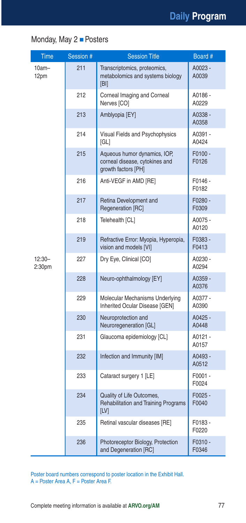### Monday, May 2 Posters

| Time               | Session # | <b>Session Title</b>                                                                  | Board #            |
|--------------------|-----------|---------------------------------------------------------------------------------------|--------------------|
| $10am -$<br>12pm   | 211       | Transcriptomics, proteomics,<br>metabolomics and systems biology<br>[BI]              | A0023 -<br>A0039   |
|                    | 212       | Corneal Imaging and Corneal<br>Nerves [CO]                                            | A0186 -<br>A0229   |
|                    | 213       | Amblyopia [EY]                                                                        | A0338 -<br>A0358   |
|                    | 214       | Visual Fields and Psychophysics<br>[GL]                                               | A0391 -<br>A0424   |
|                    | 215       | Aqueous humor dynamics, IOP,<br>corneal disease, cytokines and<br>growth factors [PH] | F0100 -<br>F0126   |
|                    | 216       | Anti-VEGF in AMD [RE]                                                                 | F0146 -<br>F0182   |
|                    | 217       | Retina Development and<br>Regeneration [RC]                                           | F0280 -<br>F0309   |
|                    | 218       | Telehealth [CL]                                                                       | A0075 -<br>A0120   |
|                    | 219       | Refractive Error: Myopia, Hyperopia,<br>vision and models [VI]                        | F0383 -<br>F0413   |
| $12:30-$<br>2:30pm | 227       | Dry Eye, Clinical [CO]                                                                | A0230 -<br>A0294   |
|                    | 228       | Neuro-ophthalmology [EY]                                                              | A0359 -<br>A0376   |
|                    | 229       | Molecular Mechanisms Underlying<br>Inherited Ocular Disease [GEN]                     | A0377 -<br>A0390   |
|                    | 230       | Neuroprotection and<br>Neuroregeneration [GL]                                         | A0425 -<br>A0448   |
|                    | 231       | Glaucoma epidemiology [CL]                                                            | A0121 -<br>A0157   |
|                    | 232       | Infection and Immunity [IM]                                                           | A0493 -<br>A0512   |
|                    | 233       | Cataract surgery 1 [LE]                                                               | F0001-<br>F0024    |
|                    | 234       | Quality of Life Outcomes,<br>Rehabilitation and Training Programs<br>[LV]             | $F0025 -$<br>F0040 |
|                    | 235       | Retinal vascular diseases [RE]                                                        | F0183-<br>F0220    |
|                    | 236       | Photoreceptor Biology, Protection<br>and Degeneration [RC]                            | F0310 -<br>F0346   |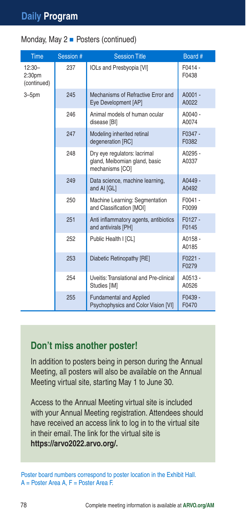|  | Monday, May 2 - Posters (continued) |  |
|--|-------------------------------------|--|
|  |                                     |  |

| <b>Time</b>                                   | Session # | <b>Session Title</b>                                                             | Board #            |
|-----------------------------------------------|-----------|----------------------------------------------------------------------------------|--------------------|
| $12:30-$<br>2:30 <sub>pm</sub><br>(continued) | 237       | <b>IOLs and Presbyopia [VI]</b>                                                  | F0414 -<br>F0438   |
| $3 - 5pm$                                     | 245       | Mechanisms of Refractive Error and<br>Eye Development [AP]                       | A0001 -<br>A0022   |
|                                               | 246       | Animal models of human ocular<br>disease [BI]                                    | $A0040 -$<br>A0074 |
|                                               | 247       | Modeling inherited retinal<br>degeneration [RC]                                  | F0347-<br>F0382    |
|                                               | 248       | Dry eye regulators: lacrimal<br>gland, Meibomian gland, basic<br>mechanisms [CO] | A0295 -<br>A0337   |
|                                               | 249       | Data science, machine learning,<br>and AI [GL]                                   | A0449-<br>A0492    |
|                                               | 250       | Machine Learning: Segmentation<br>and Classification [MOI]                       | F0041-<br>F0099    |
|                                               | 251       | Anti inflammatory agents, antibiotics<br>and antivirals [PH]                     | F0127-<br>F0145    |
|                                               | 252       | Public Health I [CL]                                                             | A0158-<br>A0185    |
|                                               | 253       | Diabetic Retinopathy [RE]                                                        | $F0221 -$<br>F0279 |
|                                               | 254       | Uveitis: Translational and Pre-clinical<br>Studies [IM]                          | A0513-<br>A0526    |
|                                               | 255       | <b>Fundamental and Applied</b><br>Psychophysics and Color Vision [VI]            | F0439 -<br>F0470   |

### **Don't miss another poster!**

In addition to posters being in person during the Annual Meeting, all posters will also be available on the Annual Meeting virtual site, starting May 1 to June 30.

Access to the Annual Meeting virtual site is included with your Annual Meeting registration. Attendees should have received an access link to log in to the virtual site in their email. The link for the virtual site is **https://arvo2022.arvo.org/.**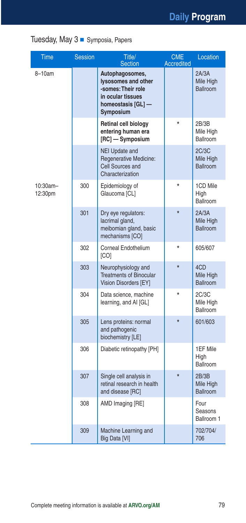## Tuesday, May 3 Symposia, Papers

| Time                   | <b>Session</b> | Title/<br><b>Section</b>                                                                                             | <b>CME</b><br><b>Accredited</b> | Location                              |
|------------------------|----------------|----------------------------------------------------------------------------------------------------------------------|---------------------------------|---------------------------------------|
| 8-10am                 |                | Autophagosomes,<br>lysosomes and other<br>-somes: Their role<br>in ocular tissues<br>homeostasis [GL] -<br>Symposium |                                 | 2A/3A<br>Mile High<br><b>Ballroom</b> |
|                        |                | Retinal cell biology<br>entering human era<br>[RC] — Symposium                                                       | ÷                               | 2B/3B<br>Mile High<br>Ballroom        |
|                        |                | <b>NEI Update and</b><br>Regenerative Medicine:<br><b>Cell Sources and</b><br>Characterization                       |                                 | 2C/3C<br>Mile High<br><b>Ballroom</b> |
| $10:30am -$<br>12:30pm | 300            | Epidemiology of<br>Glaucoma [CL]                                                                                     | $\star$                         | 1CD Mile<br>High<br>Ballroom          |
|                        | 301            | Dry eye regulators:<br>lacrimal gland,<br>meibomian gland, basic<br>mechanisms [CO]                                  | $\star$                         | 2A/3A<br>Mile High<br><b>Ballroom</b> |
|                        | 302            | Corneal Endothelium<br>[CO]                                                                                          | $\star$                         | 605/607                               |
|                        | 303            | Neurophysiology and<br><b>Treatments of Binocular</b><br>Vision Disorders [EY]                                       | $\star$                         | 4CD<br>Mile High<br><b>Ballroom</b>   |
|                        | 304            | Data science, machine<br>learning, and AI [GL]                                                                       | $\star$                         | 2C/3C<br>Mile High<br>Ballroom        |
|                        | 305            | Lens proteins: normal<br>and pathogenic<br>biochemistry [LE]                                                         | *                               | 601/603                               |
|                        | 306            | Diabetic retinopathy [PH]                                                                                            |                                 | 1EF Mile<br>High<br>Ballroom          |
|                        | 307            | Single cell analysis in<br>retinal research in health<br>and disease [RC]                                            | $\star$                         | 2B/3B<br>Mile High<br><b>Ballroom</b> |
|                        | 308            | AMD Imaging [RE]                                                                                                     |                                 | Four<br>Seasons<br>Ballroom 1         |
|                        | 309            | Machine Learning and<br>Big Data [VI]                                                                                |                                 | 702/704/<br>706                       |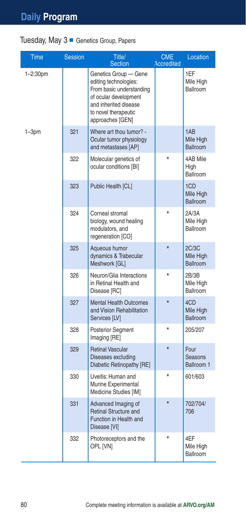#### Tuesday, May  $3$   $\blacksquare$  Genetics Group, Papers

| <b>Time</b>   | <b>Session</b> | Title/<br><b>Section</b>                                                                                                                                                 | <b>CME</b><br><b>Accredited</b> | Location                              |
|---------------|----------------|--------------------------------------------------------------------------------------------------------------------------------------------------------------------------|---------------------------------|---------------------------------------|
| $1 - 2:30$ pm |                | Genetics Group - Gene<br>editing technologies:<br>From basic understanding<br>of ocular development<br>and inherited disease<br>to novel therapeutic<br>approaches [GEN] |                                 | 1EF<br>Mile High<br>Ballroom          |
| $1 - 3pm$     | 321            | Where art thou tumor? -<br>Ocular tumor physiology<br>and metastases [AP]                                                                                                |                                 | 1AB<br>Mile High<br><b>Ballroom</b>   |
|               | 322            | Molecular genetics of<br>ocular conditions [BI]                                                                                                                          |                                 | 4AB Mile<br>High<br>Ballroom          |
|               | 323            | Public Health [CL]                                                                                                                                                       |                                 | 1CD<br>Mile High<br><b>Ballroom</b>   |
|               | 324            | Corneal stromal<br>biology, wound healing<br>modulators, and<br>regeneration [CO]                                                                                        | $\star$                         | 2A/3A<br>Mile High<br>Ballroom        |
|               | 325            | Aqueous humor<br>dynamics & Trabecular<br>Meshwork [GL]                                                                                                                  | $\star$                         | 2C/3C<br>Mile High<br><b>Ballroom</b> |
|               | 326            | Neuron/Glia Interactions<br>in Retinal Health and<br>Disease [RC]                                                                                                        | $\star$                         | 2B/3B<br>Mile High<br>Ballroom        |
|               | 327            | <b>Mental Health Outcomes</b><br>and Vision Rehabilitation<br>Services [LV]                                                                                              | $\star$                         | 4CD<br>Mile High<br><b>Ballroom</b>   |
|               | 328            | Posterior Segment<br>Imaging [RE]                                                                                                                                        | $\star$                         | 205/207                               |
|               | 329            | <b>Retinal Vascular</b><br>Diseases excluding<br>Diabetic Retinopathy [RE]                                                                                               | $\star$                         | Four<br>Seasons<br>Ballroom 1         |
|               | 330            | Uveitis: Human and<br>Murine Experimental<br>Medicine Studies [IM]                                                                                                       |                                 | 601/603                               |
|               | 331            | Advanced Imaging of<br><b>Retinal Structure and</b><br>Function in Health and<br>Disease [VI]                                                                            | $\star$                         | 702/704/<br>706                       |
|               | 332            | Photoreceptors and the<br>OPL [VN]                                                                                                                                       | $\star$                         | 4EF<br>Mile High<br><b>Ballroom</b>   |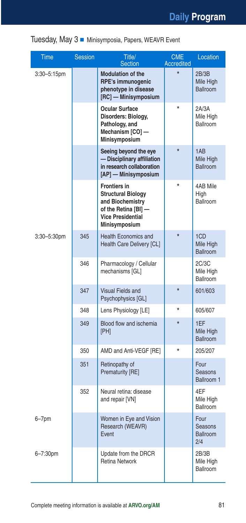#### Tuesday, May 3 Minisymposia, Papers, WEAVR Event

| <b>Time</b> | <b>Session</b> | Title/<br><b>Section</b>                                                                                                                  | <b>CME</b><br><b>Accredited</b> | Location                                  |
|-------------|----------------|-------------------------------------------------------------------------------------------------------------------------------------------|---------------------------------|-------------------------------------------|
| 3:30-5:15pm |                | <b>Modulation of the</b><br><b>RPE's immunogenic</b><br>phenotype in disease<br>[RC] - Minisymposium                                      | $\star$                         | 2B/3B<br>Mile High<br><b>Ballroom</b>     |
|             |                | Ocular Surface<br>Disorders: Biology,<br>Pathology, and<br>Mechanism [CO] -<br><b>Minisymposium</b>                                       |                                 | 2A/3A<br>Mile High<br>Ballroom            |
|             |                | Seeing beyond the eye<br>- Disciplinary affiliation<br>in research collaboration<br>[AP] - Minisymposium                                  | $\star$                         | 1AB<br>Mile High<br><b>Ballroom</b>       |
|             |                | <b>Frontiers in</b><br><b>Structural Biology</b><br>and Biochemistry<br>of the Retina [BI] -<br><b>Vice Presidential</b><br>Minisymposium |                                 | 4AB Mile<br>High<br><b>Ballroom</b>       |
| 3:30-5:30pm | 345            | <b>Health Economics and</b><br>Health Care Delivery [CL]                                                                                  | $\star$                         | 1CD<br>Mile High<br><b>Ballroom</b>       |
|             | 346            | Pharmacology / Cellular<br>mechanisms [GL]                                                                                                |                                 | 2C/3C<br>Mile High<br><b>Ballroom</b>     |
|             | 347            | <b>Visual Fields and</b><br>Psychophysics [GL]                                                                                            | $\star$                         | 601/603                                   |
|             | 348            | Lens Physiology [LE]                                                                                                                      | $\star$                         | 605/607                                   |
|             | 349            | Blood flow and ischemia<br>[PH]                                                                                                           | ÷                               | 1EF<br>Mile High<br><b>Ballroom</b>       |
|             | 350            | AMD and Anti-VEGF [RE]                                                                                                                    | $\star$                         | 205/207                                   |
|             | 351            | Retinopathy of<br>Prematurity [RE]                                                                                                        |                                 | Four<br>Seasons<br>Ballroom 1             |
|             | 352            | Neural retina: disease<br>and repair [VN]                                                                                                 |                                 | 4EF<br>Mile High<br><b>Ballroom</b>       |
| $6 - 7$ pm  |                | Women in Eye and Vision<br>Research (WEAVR)<br>Event                                                                                      |                                 | Four<br>Seasons<br><b>Ballroom</b><br>2/4 |
| 6-7:30pm    |                | Update from the DRCR<br><b>Retina Network</b>                                                                                             |                                 | 2B/3B<br>Mile High<br>Ballroom            |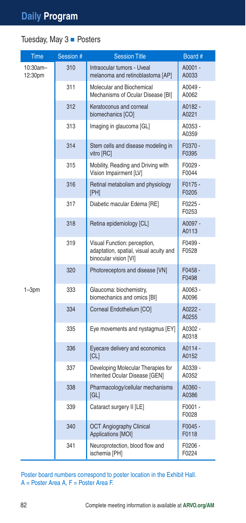## Tuesday, May  $3$   $\blacksquare$  Posters

| Time                | Session # | <b>Session Title</b>                                                                            | Board #            |
|---------------------|-----------|-------------------------------------------------------------------------------------------------|--------------------|
| 10:30am-<br>12:30pm | 310       | Intraocular tumors - Uveal<br>melanoma and retinoblastoma [AP]                                  | A0001 -<br>A0033   |
|                     | 311       | Molecular and Biochemical<br>Mechanisms of Ocular Disease [BI]                                  | A0049 -<br>A0062   |
|                     | 312       | Keratoconus and corneal<br>biomechanics [CO]                                                    | A0182 -<br>A0221   |
|                     | 313       | Imaging in glaucoma [GL]                                                                        | A0353 -<br>A0359   |
|                     | 314       | Stem cells and disease modeling in<br>vitro [RC]                                                | F0370 -<br>F0395   |
|                     | 315       | Mobility, Reading and Driving with<br>Vision Impairment [LV]                                    | F0029-<br>F0044    |
|                     | 316       | Retinal metabolism and physiology<br>[PH]                                                       | $F0175 -$<br>F0205 |
|                     | 317       | Diabetic macular Edema [RE]                                                                     | F0225 -<br>F0253   |
|                     | 318       | Retina epidemiology [CL]                                                                        | A0097 -<br>A0113   |
|                     | 319       | Visual Function: perception,<br>adaptation, spatial, visual acuity and<br>binocular vision [VI] | F0499-<br>F0528    |
|                     | 320       | Photoreceptors and disease [VN]                                                                 | $F0458 -$<br>F0498 |
| $1 - 3pm$           | 333       | Glaucoma: biochemistry,<br>biomechanics and omics [BI]                                          | A0063-<br>A0096    |
|                     | 334       | Corneal Endothelium [CO]                                                                        | A0222 -<br>A0255   |
|                     | 335       | Eye movements and nystagmus [EY]                                                                | A0302 -<br>A0318   |
|                     | 336       | Eyecare delivery and economics<br> CL                                                           | A0114 -<br>A0152   |
|                     | 337       | Developing Molecular Therapies for<br>Inherited Ocular Disease [GEN]                            | A0339 -<br>A0352   |
|                     | 338       | Pharmacology/cellular mechanisms<br>GLI                                                         | A0360 -<br>A0386   |
|                     | 339       | Cataract surgery II [LE]                                                                        | F0001 -<br>F0028   |
|                     | 340       | <b>OCT Angiography Clinical</b><br>Applications [MOI]                                           | $F0045 -$<br>F0118 |
|                     | 341       | Neuroprotection, blood flow and<br>ischemia [PH]                                                | F0206 -<br>F0224   |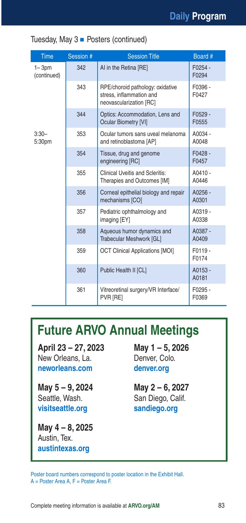#### Tuesday, May  $3$   $\blacksquare$  Posters (continued)

| <b>Time</b>              | Session # | <b>Session Title</b>                                                                    | Board #            |
|--------------------------|-----------|-----------------------------------------------------------------------------------------|--------------------|
| $1 - 3pm$<br>(continued) | 342       | AI in the Retina [RE]                                                                   | $F0254 -$<br>F0294 |
|                          | 343       | RPE/choroid pathology: oxidative<br>stress, inflammation and<br>neovascularization [RC] | F0396 -<br>F0427   |
|                          | 344       | Optics: Accommodation, Lens and<br><b>Ocular Biometry [VI]</b>                          | F0529 -<br>F0555   |
| $3:30-$<br>5:30pm        | 353       | Ocular tumors sans uveal melanoma<br>and retinoblastoma [AP]                            | A0034 -<br>A0048   |
|                          | 354       | Tissue, drug and genome<br>engineering [RC]                                             | $F0428 -$<br>F0457 |
|                          | 355       | <b>Clinical Uveitis and Scleritis:</b><br>Therapies and Outcomes [IM]                   | A0410 -<br>A0446   |
|                          | 356       | Corneal epithelial biology and repair<br>mechanisms [CO]                                | $A0256 -$<br>A0301 |
|                          | 357       | Pediatric ophthalmology and<br>imaging [EY]                                             | A0319 -<br>A0338   |
|                          | 358       | Aqueous humor dynamics and<br>Trabecular Meshwork [GL]                                  | A0387 -<br>A0409   |
|                          | 359       | <b>OCT Clinical Applications [MOI]</b>                                                  | F0119-<br>F0174    |
|                          | 360       | Public Health II [CL]                                                                   | A0153 -<br>A0181   |
|                          | 361       | Vitreoretinal surgery/VR Interface/<br>PVR [RE]                                         | F0295 -<br>F0369   |

# **Future ARVO Annual Meetings**

**April 23 – 27, 2023**  New Orleans, La. **neworleans.com**

**May 5 – 9, 2024** Seattle, Wash. **visitseattle.org**

**May 4 – 8, 2025**  Austin, Tex. **austintexas.org**

**May 1 – 5, 2026** Denver, Colo. **denver.org**

**May 2 – 6, 2027** San Diego, Calif. **sandiego.org**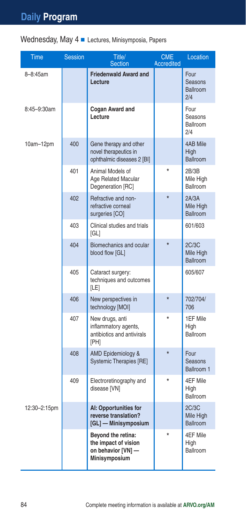| Wednesday, May 4 Lectures, Minisymposia, Papers |  |  |  |  |
|-------------------------------------------------|--|--|--|--|
|-------------------------------------------------|--|--|--|--|

| Time         | <b>Session</b> | Title/<br><b>Section</b>                                                                 | <b>CME</b><br><b>Accredited</b> | Location                                  |
|--------------|----------------|------------------------------------------------------------------------------------------|---------------------------------|-------------------------------------------|
| 8-8:45am     |                | <b>Friedenwald Award and</b><br>Lecture                                                  |                                 | Four<br>Seasons<br><b>Ballroom</b><br>2/4 |
| 8:45-9:30am  |                | Cogan Award and<br>Lecture                                                               |                                 | Four<br>Seasons<br>Ballroom<br>2/4        |
| $10am-12pm$  | 400            | Gene therapy and other<br>novel therapeutics in<br>ophthalmic diseases 2 [BI]            |                                 | 4AB Mile<br>High<br>Ballroom              |
|              | 401            | Animal Models of<br>Age Related Macular<br>Degeneration [RC]                             |                                 | 2B/3B<br>Mile High<br>Ballroom            |
|              | 402            | Refractive and non-<br>refractive corneal<br>surgeries [CO]                              | $\star$                         | 2A/3A<br>Mile High<br><b>Ballroom</b>     |
|              | 403            | Clinical studies and trials<br>[GL]                                                      |                                 | 601/603                                   |
|              | 404            | Biomechanics and ocular<br>blood flow [GL]                                               | $\star$                         | 2C/3C<br>Mile High<br><b>Ballroom</b>     |
|              | 405            | Cataract surgery:<br>techniques and outcomes<br>[LE]                                     |                                 | 605/607                                   |
|              | 406            | New perspectives in<br>technology [MOI]                                                  | $\star$                         | 702/704/<br>706                           |
|              | 407            | New drugs, anti<br>inflammatory agents,<br>antibiotics and antivirals<br>[PH]            | $\star$                         | 1EF Mile<br>High<br>Ballroom              |
|              | 408            | AMD Epidemiology &<br><b>Systemic Therapies [RE]</b>                                     | $\star$                         | Four<br>Seasons<br>Ballroom 1             |
|              | 409            | Electroretinography and<br>disease [VN]                                                  |                                 | 4EF Mile<br>High<br>Ballroom              |
| 12:30-2:15pm |                | AI: Opportunities for<br>reverse translation?<br>[GL] - Minisymposium                    |                                 | 2C/3C<br>Mile High<br><b>Ballroom</b>     |
|              |                | Beyond the retina:<br>the impact of vision<br>on behavior [VN] -<br><b>Minisymposium</b> |                                 | 4EF Mile<br>High<br>Ballroom              |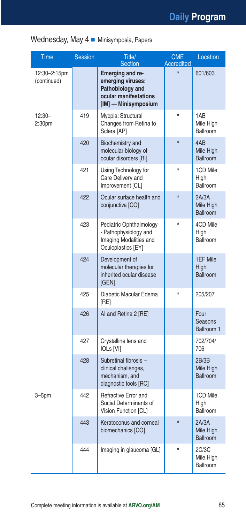#### Wednesday, May 4 Minisymposia, Papers

| Time                        | <b>Session</b> | Title/<br><b>Section</b>                                                                                   | <b>CME</b><br><b>Accredited</b> | Location                              |
|-----------------------------|----------------|------------------------------------------------------------------------------------------------------------|---------------------------------|---------------------------------------|
| 12:30-2:15pm<br>(continued) |                | Emerging and re-<br>emerging viruses:<br>Pathobiology and<br>ocular manifestations<br>[IM] - Minisymposium |                                 | 601/603                               |
| $12:30-$<br>2:30pm          | 419            | Myopia: Structural<br>Changes from Retina to<br>Sclera [AP]                                                | ÷                               | 1AB<br>Mile High<br>Ballroom          |
|                             | 420            | Biochemistry and<br>molecular biology of<br>ocular disorders [BI]                                          | $\star$                         | 4AB<br>Mile High<br><b>Ballroom</b>   |
|                             | 421            | Using Technology for<br>Care Delivery and<br>Improvement [CL]                                              | $\star$                         | 1CD Mile<br>High<br><b>Ballroom</b>   |
|                             | 422            | Ocular surface health and<br>conjunctiva [CO]                                                              | $\star$                         | 2A/3A<br>Mile High<br><b>Ballroom</b> |
|                             | 423            | Pediatric Ophthalmology<br>- Pathophysiology and<br>Imaging Modalities and<br>Oculoplastics [EY]           |                                 | 4CD Mile<br>High<br>Ballroom          |
|                             | 424            | Development of<br>molecular therapies for<br>inherited ocular disease<br>[GEN]                             |                                 | 1EF Mile<br>High<br><b>Ballroom</b>   |
|                             | 425            | Diabetic Macular Edema<br>[RE]                                                                             |                                 | 205/207                               |
|                             | 426            | AI and Retina 2 [RE]                                                                                       |                                 | Four<br>Seasons<br>Ballroom 1         |
|                             | 427            | Crystalline lens and<br><b>IOLs [VI]</b>                                                                   |                                 | 702/704/<br>706                       |
|                             | 428            | Subretinal fibrosis -<br>clinical challenges,<br>mechanism, and<br>diagnostic tools [RC]                   |                                 | 2B/3B<br>Mile High<br>Ballroom        |
| $3 - 5pm$                   | 442            | Refractive Error and<br>Social Determinants of<br>Vision Function [CL]                                     |                                 | 1CD Mile<br>High<br>Ballroom          |
|                             | 443            | Keratoconus and corneal<br>biomechanics [CO]                                                               | $\star$                         | 2A/3A<br>Mile High<br><b>Ballroom</b> |
|                             | 444            | Imaging in glaucoma [GL]                                                                                   |                                 | 2C/3C<br>Mile High<br>Ballroom        |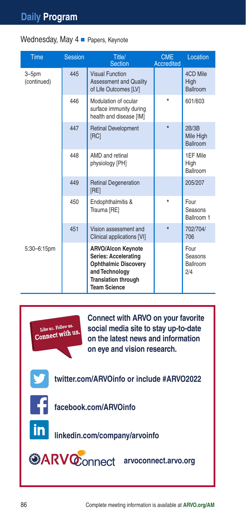| <b>Time</b>              | <b>Session</b> | Title/<br><b>Section</b>                                                                                                                                       | <b>CME</b><br><b>Accredited</b> | Location                            |
|--------------------------|----------------|----------------------------------------------------------------------------------------------------------------------------------------------------------------|---------------------------------|-------------------------------------|
| $3 - 5pm$<br>(continued) | 445            | <b>Visual Function</b><br><b>Assessment and Quality</b><br>of Life Outcomes [LV]                                                                               |                                 | 4CD Mile<br>High<br>Ballroom        |
|                          | 446            | Modulation of ocular<br>surface immunity during<br>health and disease [IM]                                                                                     | $\star$                         | 601/603                             |
|                          | 447            | <b>Retinal Development</b><br>[RC]                                                                                                                             | $\star$                         | 2B/3B<br>Mile High<br>Ballroom      |
|                          | 448            | AMD and retinal<br>physiology [PH]                                                                                                                             |                                 | 1EF Mile<br>High<br><b>Ballroom</b> |
|                          | 449            | <b>Retinal Degeneration</b><br>[RE]                                                                                                                            |                                 | 205/207                             |
|                          | 450            | Endophthalmitis &<br>Trauma [RE]                                                                                                                               | $\star$                         | Four<br>Seasons<br>Ballroom 1       |
|                          | 451            | Vision assessment and<br>Clinical applications [VI]                                                                                                            | $\star$                         | 702/704/<br>706                     |
| 5:30-6:15pm              |                | <b>ARVO/Alcon Keynote</b><br><b>Series: Accelerating</b><br><b>Ophthalmic Discovery</b><br>and Technology<br><b>Translation through</b><br><b>Team Science</b> |                                 | Four<br>Seasons<br>Ballroom<br>2/4  |

Wednesday, May  $4$   $\blacksquare$  Papers, Keynote



**Connect with ARVO on your favorite social media site to stay up-to-date on the latest news and information on eye and vision research.**

**twitter.com/ARVOinfo or include #ARVO2022**



**facebook.com/ARVOinfo**



**linkedin.com/company/arvoinfo**

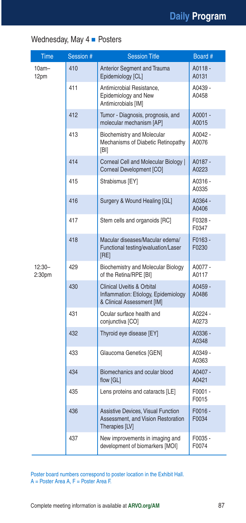### Wednesday, May  $4$   $\blacksquare$  Posters

| Time                           | Session # | <b>Session Title</b>                                                                                        | Board #          |
|--------------------------------|-----------|-------------------------------------------------------------------------------------------------------------|------------------|
| $10am -$<br>12pm               | 410       | <b>Anterior Segment and Trauma</b><br>Epidemiology [CL]                                                     | A0118 -<br>A0131 |
|                                | 411       | Antimicrobial Resistance.<br>Epidemiology and New<br>Antimicrobials [IM]                                    | A0439 -<br>A0458 |
|                                | 412       | Tumor - Diagnosis, prognosis, and<br>molecular mechanism [AP]                                               | A0001 -<br>A0015 |
|                                | 413       | <b>Biochemistry and Molecular</b><br>Mechanisms of Diabetic Retinopathy<br>[BI]                             | A0042 -<br>A0076 |
|                                | 414       | Corneal Cell and Molecular Biology  <br>Corneal Development [CO]                                            | A0187 -<br>A0223 |
|                                | 415       | Strabismus [EY]                                                                                             | A0316 -<br>A0335 |
|                                | 416       | Surgery & Wound Healing [GL]                                                                                | A0364 -<br>A0406 |
|                                | 417       | Stem cells and organoids [RC]                                                                               | F0328-<br>F0347  |
|                                | 418       | Macular diseases/Macular edema/<br>Functional testing/evaluation/Laser<br>[RE]                              | F0163-<br>F0230  |
| $12:30-$<br>2:30 <sub>pm</sub> | 429       | <b>Biochemistry and Molecular Biology</b><br>of the Retina/RPE [BI]                                         | A0077 -<br>A0117 |
|                                | 430       | <b>Clinical Uveitis &amp; Orbital</b><br>Inflammation: Etiology, Epidemiology<br>& Clinical Assessment [IM] | A0459 -<br>A0486 |
|                                | 431       | Ocular surface health and<br>conjunctiva [CO]                                                               | A0224 -<br>A0273 |
|                                | 432       | Thyroid eye disease [EY]                                                                                    | A0336 -<br>A0348 |
|                                | 433       | Glaucoma Genetics [GEN]                                                                                     | A0349 -<br>A0363 |
|                                | 434       | Biomechanics and ocular blood<br>flow [GL]                                                                  | A0407 -<br>A0421 |
|                                | 435       | Lens proteins and cataracts [LE]                                                                            | F0001-<br>F0015  |
|                                | 436       | Assistive Devices, Visual Function<br>Assessment, and Vision Restoration<br>Therapies [LV]                  | F0016 -<br>F0034 |
|                                | 437       | New improvements in imaging and<br>development of biomarkers [MOI]                                          | F0035 -<br>F0074 |